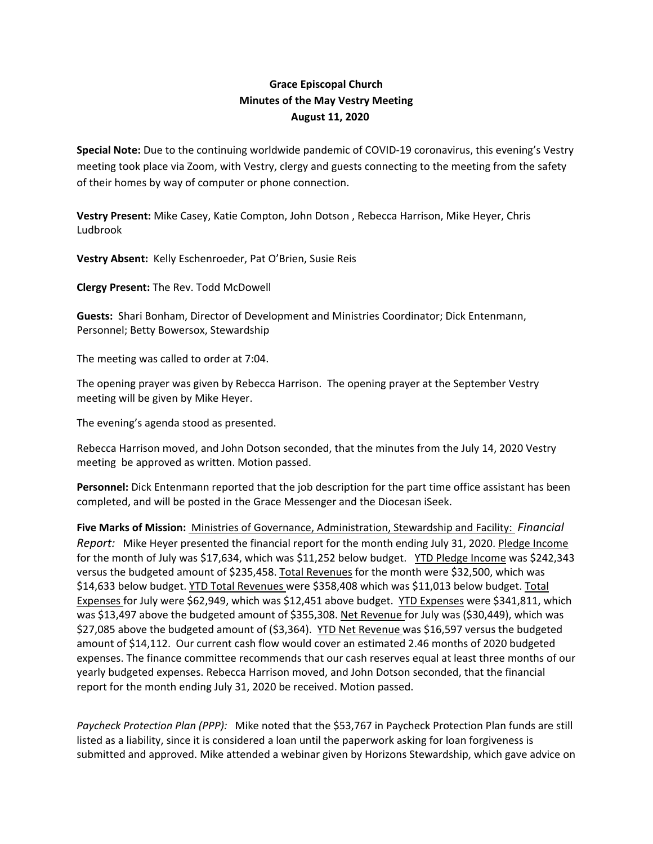## **Grace Episcopal Church Minutes of the May Vestry Meeting August 11, 2020**

**Special Note:** Due to the continuing worldwide pandemic of COVID‐19 coronavirus, this evening's Vestry meeting took place via Zoom, with Vestry, clergy and guests connecting to the meeting from the safety of their homes by way of computer or phone connection.

**Vestry Present:** Mike Casey, Katie Compton, John Dotson , Rebecca Harrison, Mike Heyer, Chris Ludbrook

**Vestry Absent:** Kelly Eschenroeder, Pat O'Brien, Susie Reis

**Clergy Present:** The Rev. Todd McDowell

**Guests:** Shari Bonham, Director of Development and Ministries Coordinator; Dick Entenmann, Personnel; Betty Bowersox, Stewardship

The meeting was called to order at 7:04.

The opening prayer was given by Rebecca Harrison. The opening prayer at the September Vestry meeting will be given by Mike Heyer.

The evening's agenda stood as presented.

Rebecca Harrison moved, and John Dotson seconded, that the minutes from the July 14, 2020 Vestry meeting be approved as written. Motion passed.

**Personnel:** Dick Entenmann reported that the job description for the part time office assistant has been completed, and will be posted in the Grace Messenger and the Diocesan iSeek.

**Five Marks of Mission:** Ministries of Governance, Administration, Stewardship and Facility: *Financial Report:* Mike Heyer presented the financial report for the month ending July 31, 2020. Pledge Income for the month of July was \$17,634, which was \$11,252 below budget. YTD Pledge Income was \$242,343 versus the budgeted amount of \$235,458. Total Revenues for the month were \$32,500, which was \$14,633 below budget. YTD Total Revenues were \$358,408 which was \$11,013 below budget. Total Expenses for July were \$62,949, which was \$12,451 above budget. YTD Expenses were \$341,811, which was \$13,497 above the budgeted amount of \$355,308. Net Revenue for July was (\$30,449), which was \$27,085 above the budgeted amount of (\$3,364). YTD Net Revenue was \$16,597 versus the budgeted amount of \$14,112. Our current cash flow would cover an estimated 2.46 months of 2020 budgeted expenses. The finance committee recommends that our cash reserves equal at least three months of our yearly budgeted expenses. Rebecca Harrison moved, and John Dotson seconded, that the financial report for the month ending July 31, 2020 be received. Motion passed.

*Paycheck Protection Plan (PPP):* Mike noted that the \$53,767 in Paycheck Protection Plan funds are still listed as a liability, since it is considered a loan until the paperwork asking for loan forgiveness is submitted and approved. Mike attended a webinar given by Horizons Stewardship, which gave advice on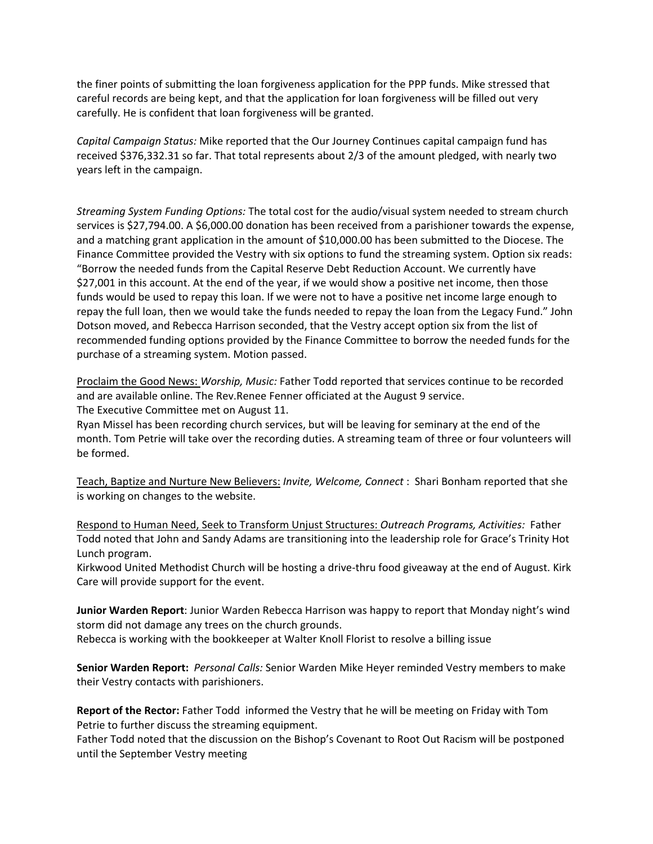the finer points of submitting the loan forgiveness application for the PPP funds. Mike stressed that careful records are being kept, and that the application for loan forgiveness will be filled out very carefully. He is confident that loan forgiveness will be granted.

*Capital Campaign Status:* Mike reported that the Our Journey Continues capital campaign fund has received \$376,332.31 so far. That total represents about 2/3 of the amount pledged, with nearly two years left in the campaign.

*Streaming System Funding Options:* The total cost for the audio/visual system needed to stream church services is \$27,794.00. A \$6,000.00 donation has been received from a parishioner towards the expense, and a matching grant application in the amount of \$10,000.00 has been submitted to the Diocese. The Finance Committee provided the Vestry with six options to fund the streaming system. Option six reads: "Borrow the needed funds from the Capital Reserve Debt Reduction Account. We currently have \$27,001 in this account. At the end of the year, if we would show a positive net income, then those funds would be used to repay this loan. If we were not to have a positive net income large enough to repay the full loan, then we would take the funds needed to repay the loan from the Legacy Fund." John Dotson moved, and Rebecca Harrison seconded, that the Vestry accept option six from the list of recommended funding options provided by the Finance Committee to borrow the needed funds for the purchase of a streaming system. Motion passed.

Proclaim the Good News: *Worship, Music:* Father Todd reported that services continue to be recorded and are available online. The Rev.Renee Fenner officiated at the August 9 service. The Executive Committee met on August 11.

Ryan Missel has been recording church services, but will be leaving for seminary at the end of the month. Tom Petrie will take over the recording duties. A streaming team of three or four volunteers will be formed.

Teach, Baptize and Nurture New Believers: *Invite, Welcome, Connect* : Shari Bonham reported that she is working on changes to the website.

Respond to Human Need, Seek to Transform Unjust Structures: *Outreach Programs, Activities:* Father Todd noted that John and Sandy Adams are transitioning into the leadership role for Grace's Trinity Hot Lunch program.

Kirkwood United Methodist Church will be hosting a drive‐thru food giveaway at the end of August. Kirk Care will provide support for the event.

**Junior Warden Report**: Junior Warden Rebecca Harrison was happy to report that Monday night's wind storm did not damage any trees on the church grounds. Rebecca is working with the bookkeeper at Walter Knoll Florist to resolve a billing issue

**Senior Warden Report:** *Personal Calls:* Senior Warden Mike Heyer reminded Vestry members to make their Vestry contacts with parishioners.

**Report of the Rector:** Father Todd informed the Vestry that he will be meeting on Friday with Tom Petrie to further discuss the streaming equipment.

Father Todd noted that the discussion on the Bishop's Covenant to Root Out Racism will be postponed until the September Vestry meeting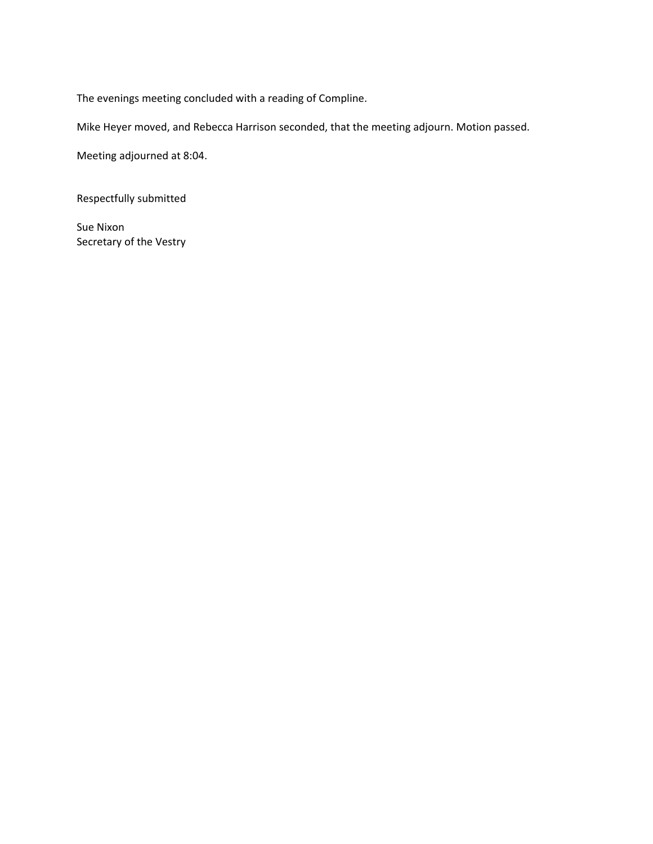The evenings meeting concluded with a reading of Compline.

Mike Heyer moved, and Rebecca Harrison seconded, that the meeting adjourn. Motion passed.

Meeting adjourned at 8:04.

Respectfully submitted

Sue Nixon Secretary of the Vestry